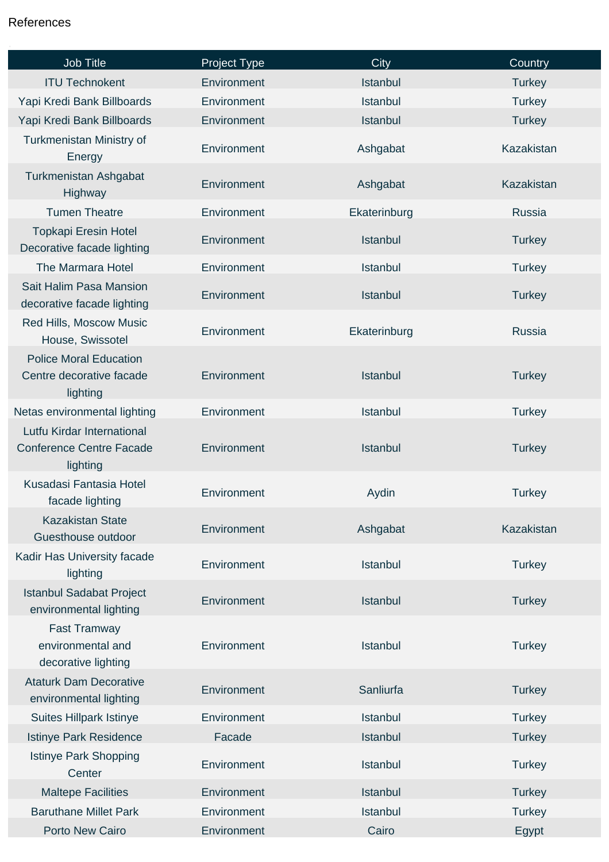## References

| Job Title                                                                 | Project Type | City            | Country       |
|---------------------------------------------------------------------------|--------------|-----------------|---------------|
| <b>ITU Technokent</b>                                                     | Environment  | Istanbul        | <b>Turkey</b> |
| Yapi Kredi Bank Billboards                                                | Environment  | Istanbul        | <b>Turkey</b> |
| Yapi Kredi Bank Billboards                                                | Environment  | Istanbul        | <b>Turkey</b> |
| Turkmenistan Ministry of<br>Energy                                        | Environment  | Ashgabat        | Kazakistan    |
| Turkmenistan Ashgabat<br>Highway                                          | Environment  | Ashgabat        | Kazakistan    |
| <b>Tumen Theatre</b>                                                      | Environment  | Ekaterinburg    | <b>Russia</b> |
| <b>Topkapi Eresin Hotel</b><br>Decorative facade lighting                 | Environment  | Istanbul        | <b>Turkey</b> |
| The Marmara Hotel                                                         | Environment  | Istanbul        | <b>Turkey</b> |
| Sait Halim Pasa Mansion<br>decorative facade lighting                     | Environment  | Istanbul        | <b>Turkey</b> |
| Red Hills, Moscow Music<br>House, Swissotel                               | Environment  | Ekaterinburg    | <b>Russia</b> |
| <b>Police Moral Education</b><br>Centre decorative facade<br>lighting     | Environment  | <b>Istanbul</b> | <b>Turkey</b> |
| Netas environmental lighting                                              | Environment  | Istanbul        | <b>Turkey</b> |
| Lutfu Kirdar International<br><b>Conference Centre Facade</b><br>lighting | Environment  | Istanbul        | <b>Turkey</b> |
| Kusadasi Fantasia Hotel<br>facade lighting                                | Environment  | Aydin           | <b>Turkey</b> |
| <b>Kazakistan State</b><br>Guesthouse outdoor                             | Environment  | Ashgabat        | Kazakistan    |
| Kadir Has University facade<br>lighting                                   | Environment  | <b>Istanbul</b> | <b>Turkey</b> |
| <b>Istanbul Sadabat Project</b><br>environmental lighting                 | Environment  | Istanbul        | <b>Turkey</b> |
| <b>Fast Tramway</b><br>environmental and<br>decorative lighting           | Environment  | Istanbul        | <b>Turkey</b> |
| <b>Ataturk Dam Decorative</b><br>environmental lighting                   | Environment  | Sanliurfa       | <b>Turkey</b> |
| <b>Suites Hillpark Istinye</b>                                            | Environment  | Istanbul        | <b>Turkey</b> |
| <b>Istinye Park Residence</b>                                             | Facade       | Istanbul        | <b>Turkey</b> |
| <b>Istinye Park Shopping</b><br>Center                                    | Environment  | Istanbul        | <b>Turkey</b> |
| <b>Maltepe Facilities</b>                                                 | Environment  | Istanbul        | <b>Turkey</b> |
| <b>Baruthane Millet Park</b>                                              | Environment  | Istanbul        | <b>Turkey</b> |
| Porto New Cairo                                                           | Environment  | Cairo           | Egypt         |